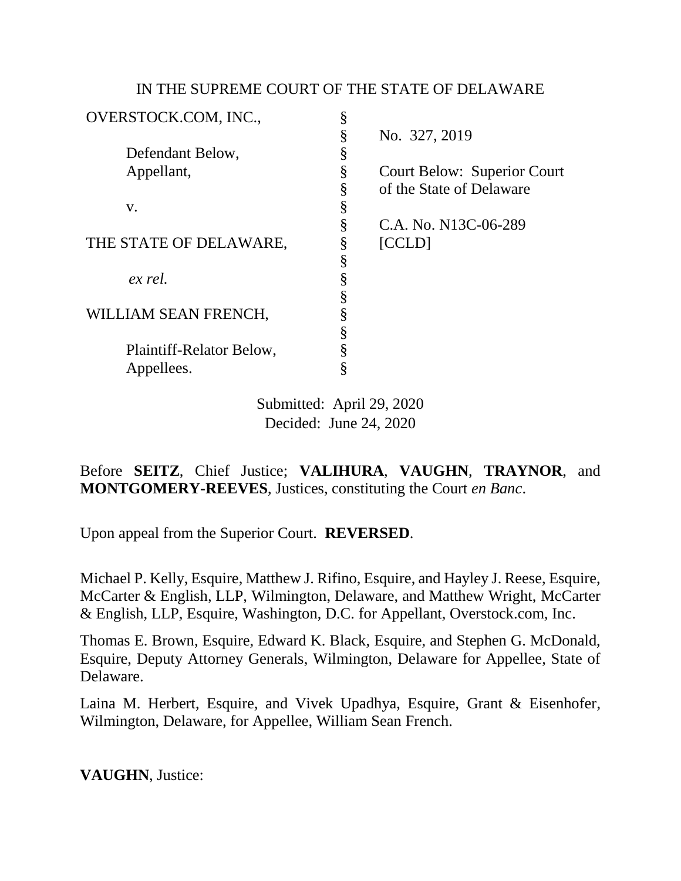## IN THE SUPREME COURT OF THE STATE OF DELAWARE

| OVERSTOCK.COM, INC.,     | § |                                    |
|--------------------------|---|------------------------------------|
|                          | § | No. 327, 2019                      |
| Defendant Below,         | § |                                    |
| Appellant,               | § | <b>Court Below: Superior Court</b> |
|                          | § | of the State of Delaware           |
| V.                       | § |                                    |
|                          | § | C.A. No. N13C-06-289               |
| THE STATE OF DELAWARE,   | § | [CCLD]                             |
|                          | § |                                    |
| ex rel.                  | § |                                    |
|                          | § |                                    |
| WILLIAM SEAN FRENCH,     | § |                                    |
|                          |   |                                    |
| Plaintiff-Relator Below, |   |                                    |
| Appellees.               |   |                                    |

Submitted: April 29, 2020 Decided: June 24, 2020

Before **SEITZ**, Chief Justice; **VALIHURA**, **VAUGHN**, **TRAYNOR**, and **MONTGOMERY-REEVES**, Justices, constituting the Court *en Banc*.

Upon appeal from the Superior Court. **REVERSED**.

Michael P. Kelly, Esquire, Matthew J. Rifino, Esquire, and Hayley J. Reese, Esquire, McCarter & English, LLP, Wilmington, Delaware, and Matthew Wright, McCarter & English, LLP, Esquire, Washington, D.C. for Appellant, Overstock.com, Inc.

Thomas E. Brown, Esquire, Edward K. Black, Esquire, and Stephen G. McDonald, Esquire, Deputy Attorney Generals, Wilmington, Delaware for Appellee, State of Delaware.

Laina M. Herbert, Esquire, and Vivek Upadhya, Esquire, Grant & Eisenhofer, Wilmington, Delaware, for Appellee, William Sean French.

**VAUGHN**, Justice: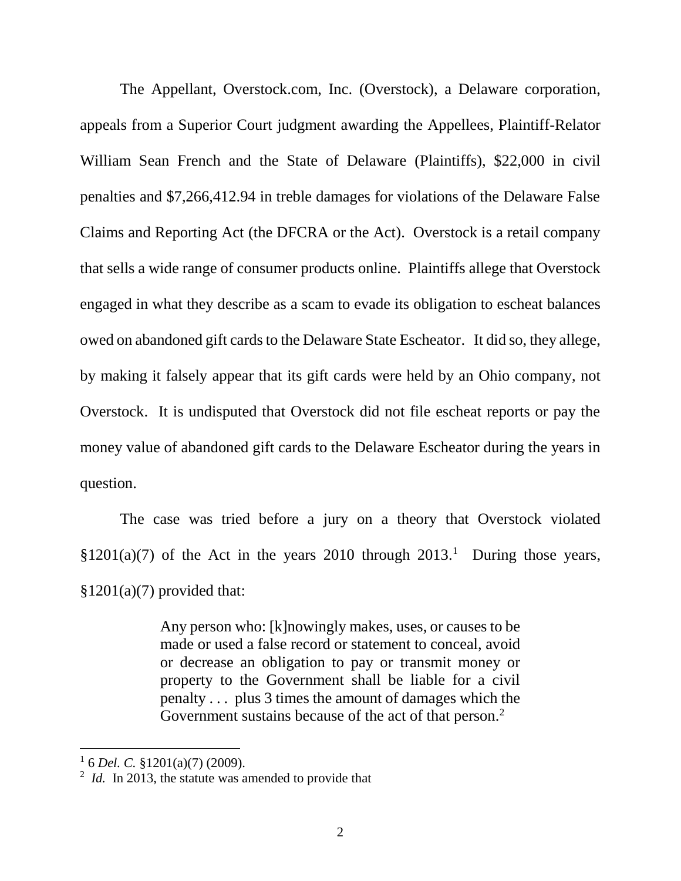The Appellant, Overstock.com, Inc. (Overstock), a Delaware corporation, appeals from a Superior Court judgment awarding the Appellees, Plaintiff-Relator William Sean French and the State of Delaware (Plaintiffs), \$22,000 in civil penalties and \$7,266,412.94 in treble damages for violations of the Delaware False Claims and Reporting Act (the DFCRA or the Act). Overstock is a retail company that sells a wide range of consumer products online. Plaintiffs allege that Overstock engaged in what they describe as a scam to evade its obligation to escheat balances owed on abandoned gift cards to the Delaware State Escheator. It did so, they allege, by making it falsely appear that its gift cards were held by an Ohio company, not Overstock. It is undisputed that Overstock did not file escheat reports or pay the money value of abandoned gift cards to the Delaware Escheator during the years in question.

The case was tried before a jury on a theory that Overstock violated  $$1201(a)(7)$  of the Act in the years 2010 through 2013.<sup>1</sup> During those years,  $$1201(a)(7)$  provided that:

> Any person who: [k]nowingly makes, uses, or causes to be made or used a false record or statement to conceal, avoid or decrease an obligation to pay or transmit money or property to the Government shall be liable for a civil penalty . . . plus 3 times the amount of damages which the Government sustains because of the act of that person.<sup>2</sup>

<sup>1</sup> 6 *Del. C.* §1201(a)(7) (2009).

<sup>&</sup>lt;sup>2</sup> *Id.* In 2013, the statute was amended to provide that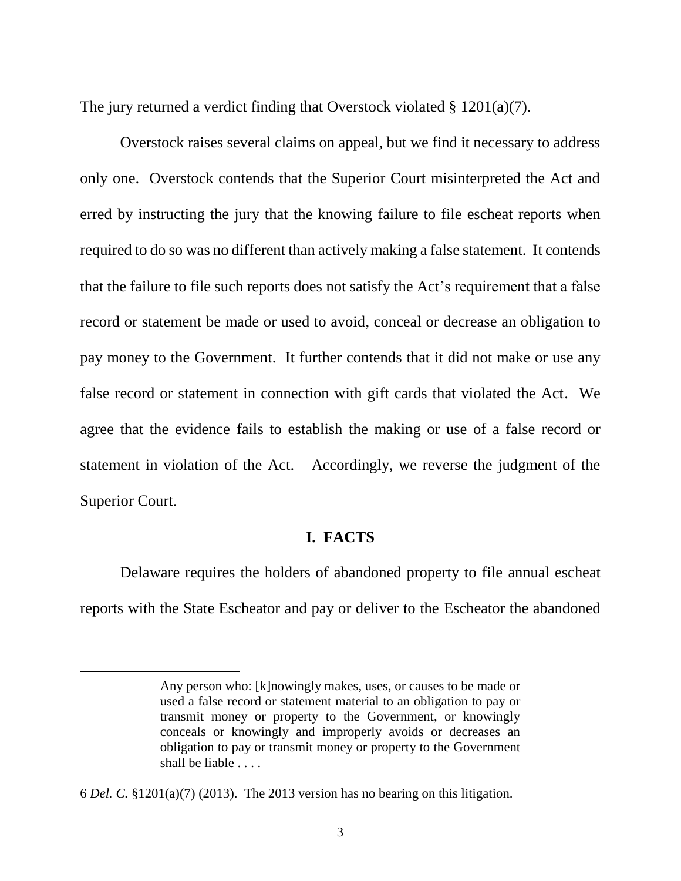The jury returned a verdict finding that Overstock violated § 1201(a)(7).

Overstock raises several claims on appeal, but we find it necessary to address only one. Overstock contends that the Superior Court misinterpreted the Act and erred by instructing the jury that the knowing failure to file escheat reports when required to do so was no different than actively making a false statement. It contends that the failure to file such reports does not satisfy the Act's requirement that a false record or statement be made or used to avoid, conceal or decrease an obligation to pay money to the Government. It further contends that it did not make or use any false record or statement in connection with gift cards that violated the Act. We agree that the evidence fails to establish the making or use of a false record or statement in violation of the Act. Accordingly, we reverse the judgment of the Superior Court.

### **I. FACTS**

Delaware requires the holders of abandoned property to file annual escheat reports with the State Escheator and pay or deliver to the Escheator the abandoned

Any person who: [k]nowingly makes, uses, or causes to be made or used a false record or statement material to an obligation to pay or transmit money or property to the Government, or knowingly conceals or knowingly and improperly avoids or decreases an obligation to pay or transmit money or property to the Government shall be liable . . . .

<sup>6</sup> *Del. C.* §1201(a)(7) (2013). The 2013 version has no bearing on this litigation.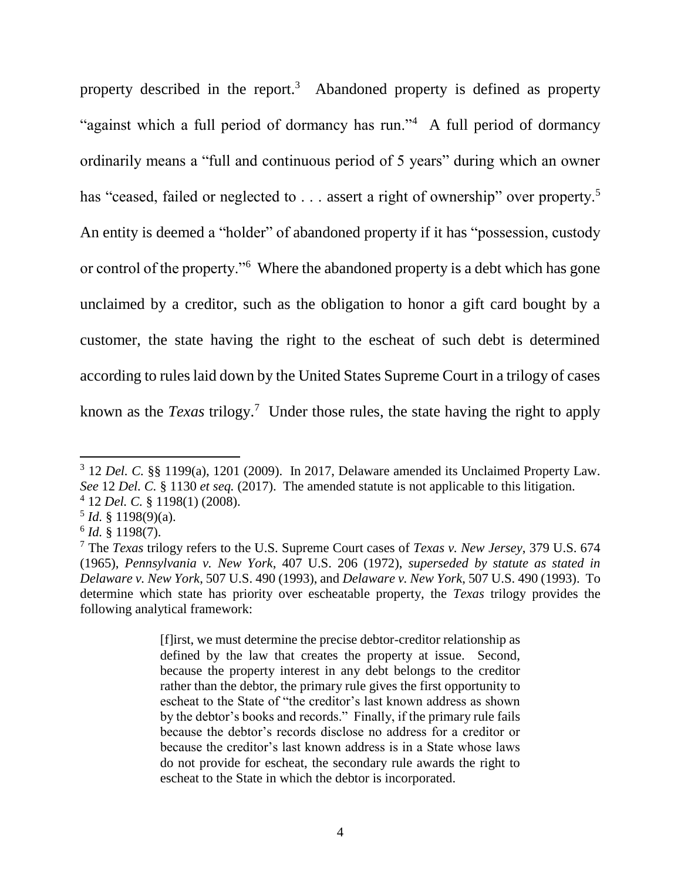property described in the report.<sup>3</sup> Abandoned property is defined as property "against which a full period of dormancy has run."<sup>4</sup> A full period of dormancy ordinarily means a "full and continuous period of 5 years" during which an owner has "ceased, failed or neglected to  $\dots$  assert a right of ownership" over property.<sup>5</sup> An entity is deemed a "holder" of abandoned property if it has "possession, custody or control of the property."<sup>6</sup> Where the abandoned property is a debt which has gone unclaimed by a creditor, such as the obligation to honor a gift card bought by a customer, the state having the right to the escheat of such debt is determined according to rules laid down by the United States Supreme Court in a trilogy of cases known as the *Texas* trilogy.<sup>7</sup> Under those rules, the state having the right to apply

5 *Id.* § 1198(9)(a).

 $\overline{a}$ 

[f]irst, we must determine the precise debtor-creditor relationship as defined by the law that creates the property at issue. Second, because the property interest in any debt belongs to the creditor rather than the debtor, the primary rule gives the first opportunity to escheat to the State of "the creditor's last known address as shown by the debtor's books and records." Finally, if the primary rule fails because the debtor's records disclose no address for a creditor or because the creditor's last known address is in a State whose laws do not provide for escheat, the secondary rule awards the right to escheat to the State in which the debtor is incorporated.

<sup>&</sup>lt;sup>3</sup> 12 *Del. C.* §§ 1199(a), 1201 (2009). In 2017, Delaware amended its Unclaimed Property Law. *See* 12 *Del. C.* § 1130 *et seq.* (2017). The amended statute is not applicable to this litigation. 4 12 *Del. C.* § 1198(1) (2008).

<sup>6</sup> *Id.* § 1198(7).

<sup>7</sup> The *Texas* trilogy refers to the U.S. Supreme Court cases of *Texas v. New Jersey*, 379 U.S. 674 (1965), *Pennsylvania v. New York*, 407 U.S. 206 (1972), *superseded by statute as stated in Delaware v. New York*, 507 U.S. 490 (1993), and *Delaware v. New York*, 507 U.S. 490 (1993). To determine which state has priority over escheatable property, the *Texas* trilogy provides the following analytical framework: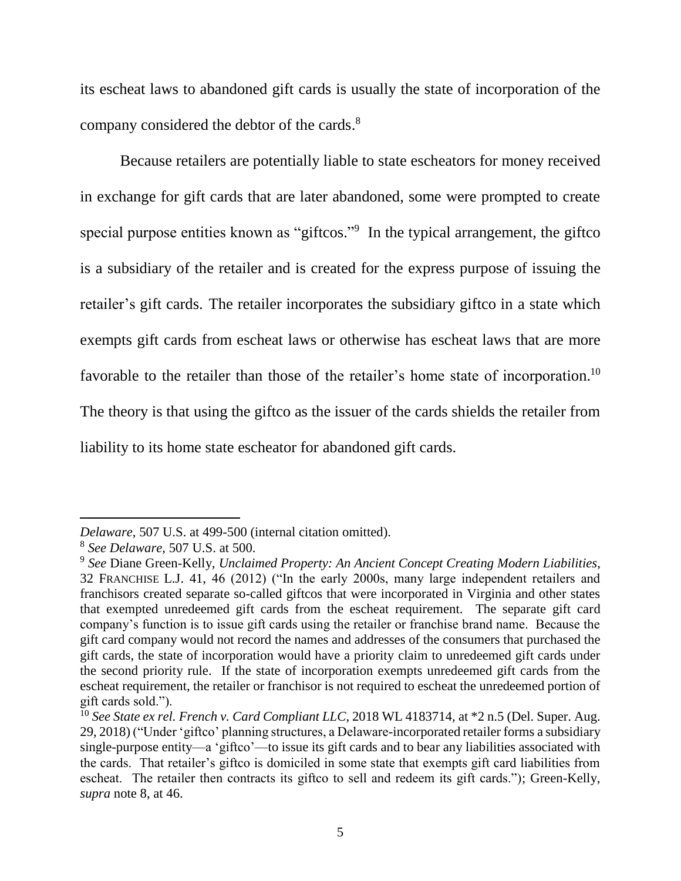its escheat laws to abandoned gift cards is usually the state of incorporation of the company considered the debtor of the cards.<sup>8</sup>

Because retailers are potentially liable to state escheators for money received in exchange for gift cards that are later abandoned, some were prompted to create special purpose entities known as "giftcos."<sup>9</sup> In the typical arrangement, the giftco is a subsidiary of the retailer and is created for the express purpose of issuing the retailer's gift cards. The retailer incorporates the subsidiary giftco in a state which exempts gift cards from escheat laws or otherwise has escheat laws that are more favorable to the retailer than those of the retailer's home state of incorporation.<sup>10</sup> The theory is that using the giftco as the issuer of the cards shields the retailer from liability to its home state escheator for abandoned gift cards.

*Delaware*, 507 U.S. at 499-500 (internal citation omitted).

<sup>8</sup> *See Delaware*, 507 U.S. at 500.

<sup>9</sup> *See* Diane Green-Kelly, *Unclaimed Property: An Ancient Concept Creating Modern Liabilities*, 32 FRANCHISE L.J. 41, 46 (2012) ("In the early 2000s, many large independent retailers and franchisors created separate so-called giftcos that were incorporated in Virginia and other states that exempted unredeemed gift cards from the escheat requirement. The separate gift card company's function is to issue gift cards using the retailer or franchise brand name. Because the gift card company would not record the names and addresses of the consumers that purchased the gift cards, the state of incorporation would have a priority claim to unredeemed gift cards under the second priority rule. If the state of incorporation exempts unredeemed gift cards from the escheat requirement, the retailer or franchisor is not required to escheat the unredeemed portion of gift cards sold.").

<sup>10</sup> *See State ex rel. French v. Card Compliant LLC*, 2018 WL 4183714, at \*2 n.5 (Del. Super. Aug. 29, 2018) ("Under 'giftco' planning structures, a Delaware-incorporated retailer forms a subsidiary single-purpose entity—a 'giftco'—to issue its gift cards and to bear any liabilities associated with the cards. That retailer's giftco is domiciled in some state that exempts gift card liabilities from escheat. The retailer then contracts its giftco to sell and redeem its gift cards."); Green-Kelly, *supra* note 8, at 46.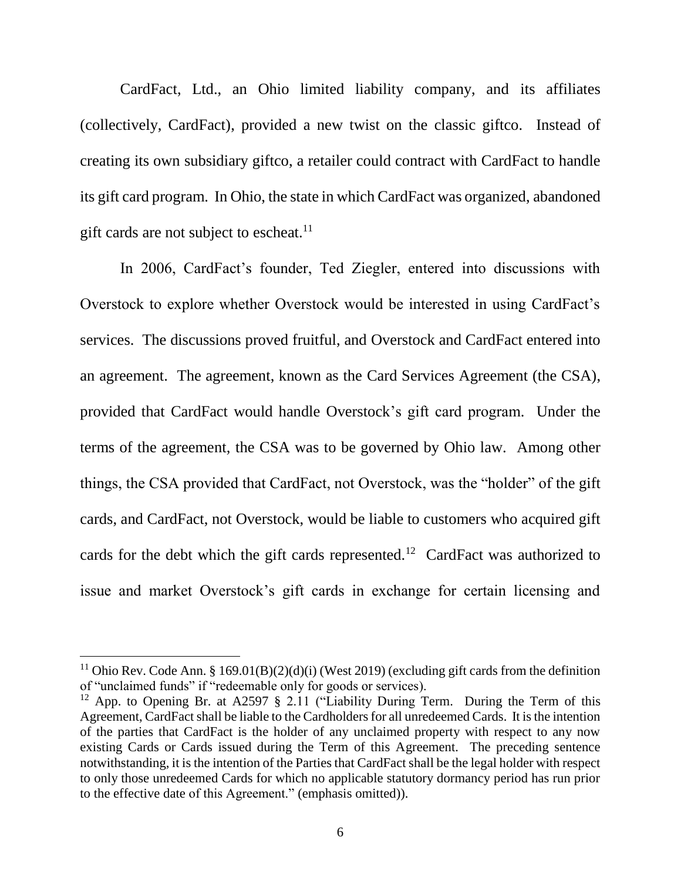CardFact, Ltd., an Ohio limited liability company, and its affiliates (collectively, CardFact), provided a new twist on the classic giftco. Instead of creating its own subsidiary giftco, a retailer could contract with CardFact to handle its gift card program. In Ohio, the state in which CardFact was organized, abandoned gift cards are not subject to escheat.<sup>11</sup>

In 2006, CardFact's founder, Ted Ziegler, entered into discussions with Overstock to explore whether Overstock would be interested in using CardFact's services. The discussions proved fruitful, and Overstock and CardFact entered into an agreement. The agreement, known as the Card Services Agreement (the CSA), provided that CardFact would handle Overstock's gift card program. Under the terms of the agreement, the CSA was to be governed by Ohio law. Among other things, the CSA provided that CardFact, not Overstock, was the "holder" of the gift cards, and CardFact, not Overstock, would be liable to customers who acquired gift cards for the debt which the gift cards represented.<sup>12</sup> CardFact was authorized to issue and market Overstock's gift cards in exchange for certain licensing and

<sup>&</sup>lt;sup>11</sup> Ohio Rev. Code Ann. § 169.01(B)(2)(d)(i) (West 2019) (excluding gift cards from the definition of "unclaimed funds" if "redeemable only for goods or services).

<sup>&</sup>lt;sup>12</sup> App. to Opening Br. at A2597 § 2.11 ("Liability During Term. During the Term of this Agreement, CardFact shall be liable to the Cardholders for all unredeemed Cards. It is the intention of the parties that CardFact is the holder of any unclaimed property with respect to any now existing Cards or Cards issued during the Term of this Agreement. The preceding sentence notwithstanding, it is the intention of the Parties that CardFact shall be the legal holder with respect to only those unredeemed Cards for which no applicable statutory dormancy period has run prior to the effective date of this Agreement." (emphasis omitted)).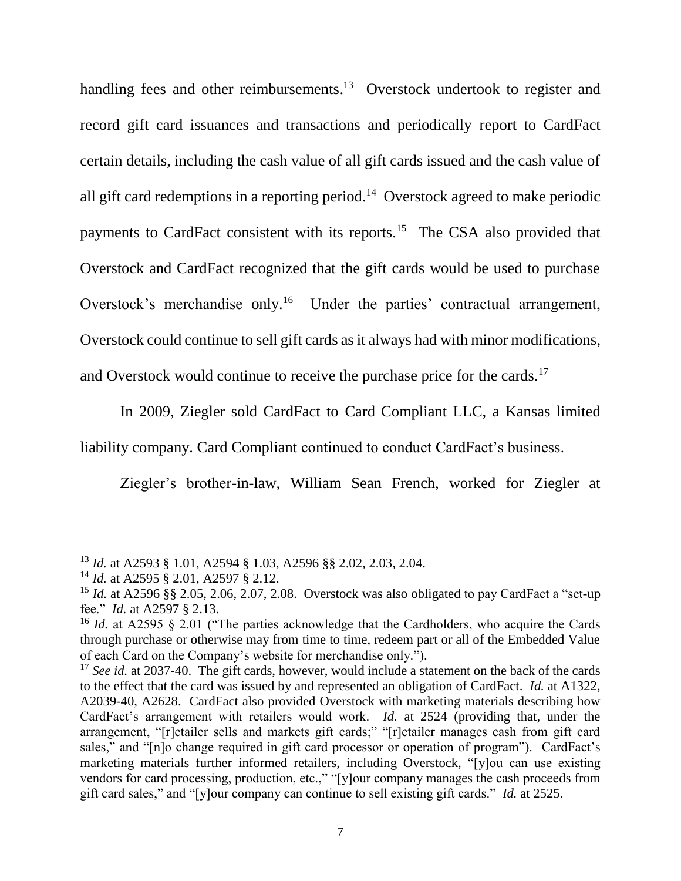handling fees and other reimbursements.<sup>13</sup> Overstock undertook to register and record gift card issuances and transactions and periodically report to CardFact certain details, including the cash value of all gift cards issued and the cash value of all gift card redemptions in a reporting period.<sup>14</sup> Overstock agreed to make periodic payments to CardFact consistent with its reports.<sup>15</sup> The CSA also provided that Overstock and CardFact recognized that the gift cards would be used to purchase Overstock's merchandise only.<sup>16</sup> Under the parties' contractual arrangement, Overstock could continue to sell gift cards as it always had with minor modifications, and Overstock would continue to receive the purchase price for the cards.<sup>17</sup>

In 2009, Ziegler sold CardFact to Card Compliant LLC, a Kansas limited liability company. Card Compliant continued to conduct CardFact's business.

Ziegler's brother-in-law, William Sean French, worked for Ziegler at

<sup>13</sup> *Id.* at A2593 § 1.01, A2594 § 1.03, A2596 §§ 2.02, 2.03, 2.04.

<sup>14</sup> *Id.* at A2595 § 2.01, A2597 § 2.12.

<sup>&</sup>lt;sup>15</sup> *Id.* at A2596 §§ 2.05, 2.06, 2.07, 2.08. Overstock was also obligated to pay CardFact a "set-up" fee." *Id.* at A2597 § 2.13.

<sup>&</sup>lt;sup>16</sup> *Id.* at A2595 § 2.01 ("The parties acknowledge that the Cardholders, who acquire the Cards through purchase or otherwise may from time to time, redeem part or all of the Embedded Value of each Card on the Company's website for merchandise only.").

<sup>&</sup>lt;sup>17</sup> See id. at 2037-40. The gift cards, however, would include a statement on the back of the cards to the effect that the card was issued by and represented an obligation of CardFact. *Id.* at A1322, A2039-40, A2628. CardFact also provided Overstock with marketing materials describing how CardFact's arrangement with retailers would work. *Id.* at 2524 (providing that, under the arrangement, "[r]etailer sells and markets gift cards;" "[r]etailer manages cash from gift card sales," and "[n]o change required in gift card processor or operation of program"). CardFact's marketing materials further informed retailers, including Overstock, "[y]ou can use existing vendors for card processing, production, etc.," "[y]our company manages the cash proceeds from gift card sales," and "[y]our company can continue to sell existing gift cards." *Id.* at 2525.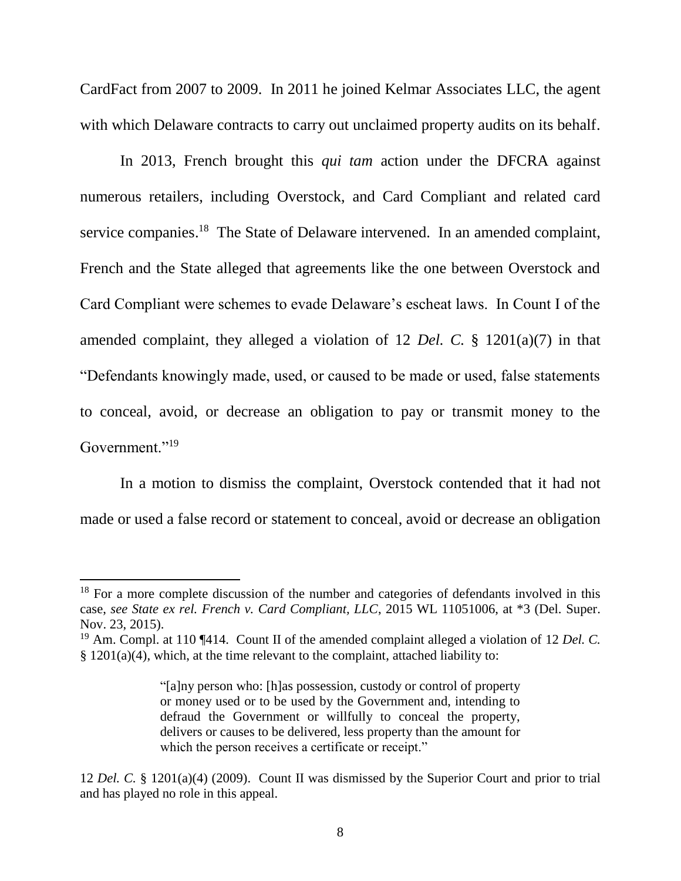CardFact from 2007 to 2009. In 2011 he joined Kelmar Associates LLC, the agent with which Delaware contracts to carry out unclaimed property audits on its behalf.

In 2013, French brought this *qui tam* action under the DFCRA against numerous retailers, including Overstock, and Card Compliant and related card service companies.<sup>18</sup> The State of Delaware intervened. In an amended complaint, French and the State alleged that agreements like the one between Overstock and Card Compliant were schemes to evade Delaware's escheat laws. In Count I of the amended complaint, they alleged a violation of 12 *Del. C.* § 1201(a)(7) in that "Defendants knowingly made, used, or caused to be made or used, false statements to conceal, avoid, or decrease an obligation to pay or transmit money to the Government."<sup>19</sup>

In a motion to dismiss the complaint, Overstock contended that it had not made or used a false record or statement to conceal, avoid or decrease an obligation

<sup>&</sup>lt;sup>18</sup> For a more complete discussion of the number and categories of defendants involved in this case, *see State ex rel. French v. Card Compliant, LLC*, 2015 WL 11051006, at \*3 (Del. Super. Nov. 23, 2015).

<sup>19</sup> Am. Compl. at 110 ¶414. Count II of the amended complaint alleged a violation of 12 *Del. C.*  § 1201(a)(4), which, at the time relevant to the complaint, attached liability to:

<sup>&</sup>quot;[a]ny person who: [h]as possession, custody or control of property or money used or to be used by the Government and, intending to defraud the Government or willfully to conceal the property, delivers or causes to be delivered, less property than the amount for which the person receives a certificate or receipt."

<sup>12</sup> *Del. C.* § 1201(a)(4) (2009). Count II was dismissed by the Superior Court and prior to trial and has played no role in this appeal.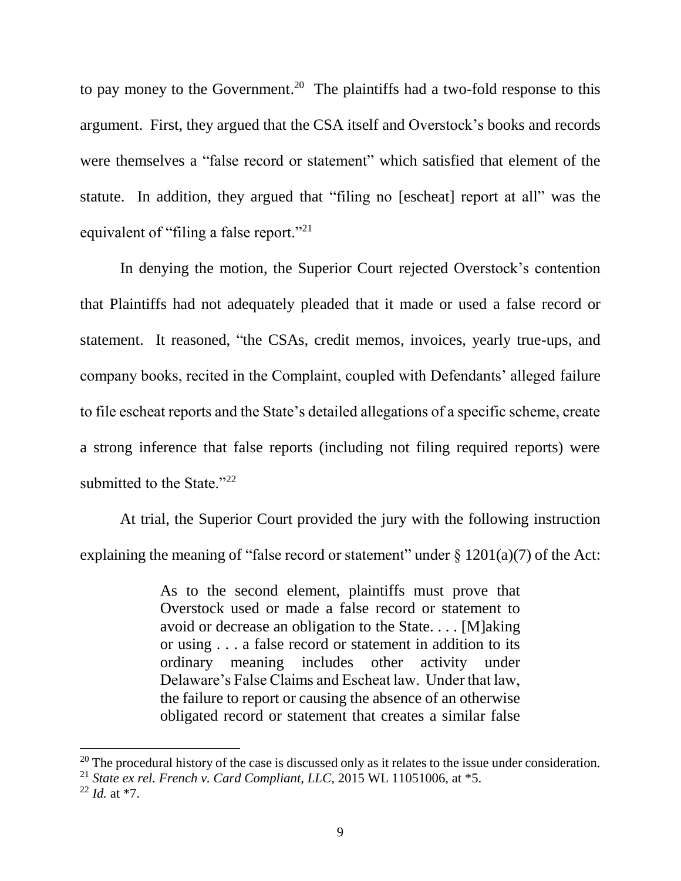to pay money to the Government.<sup>20</sup> The plaintiffs had a two-fold response to this argument. First, they argued that the CSA itself and Overstock's books and records were themselves a "false record or statement" which satisfied that element of the statute. In addition, they argued that "filing no [escheat] report at all" was the equivalent of "filing a false report."<sup>21</sup>

In denying the motion, the Superior Court rejected Overstock's contention that Plaintiffs had not adequately pleaded that it made or used a false record or statement. It reasoned, "the CSAs, credit memos, invoices, yearly true-ups, and company books, recited in the Complaint, coupled with Defendants' alleged failure to file escheat reports and the State's detailed allegations of a specific scheme, create a strong inference that false reports (including not filing required reports) were submitted to the State."<sup>22</sup>

At trial, the Superior Court provided the jury with the following instruction explaining the meaning of "false record or statement" under  $\S$  1201(a)(7) of the Act:

> As to the second element, plaintiffs must prove that Overstock used or made a false record or statement to avoid or decrease an obligation to the State. . . . [M]aking or using . . . a false record or statement in addition to its ordinary meaning includes other activity under Delaware's False Claims and Escheat law. Under that law, the failure to report or causing the absence of an otherwise obligated record or statement that creates a similar false

 $20$  The procedural history of the case is discussed only as it relates to the issue under consideration.

<sup>21</sup> *State ex rel. French v. Card Compliant, LLC*, 2015 WL 11051006, at \*5.

 $^{22}$  *Id.* at  $*7$ .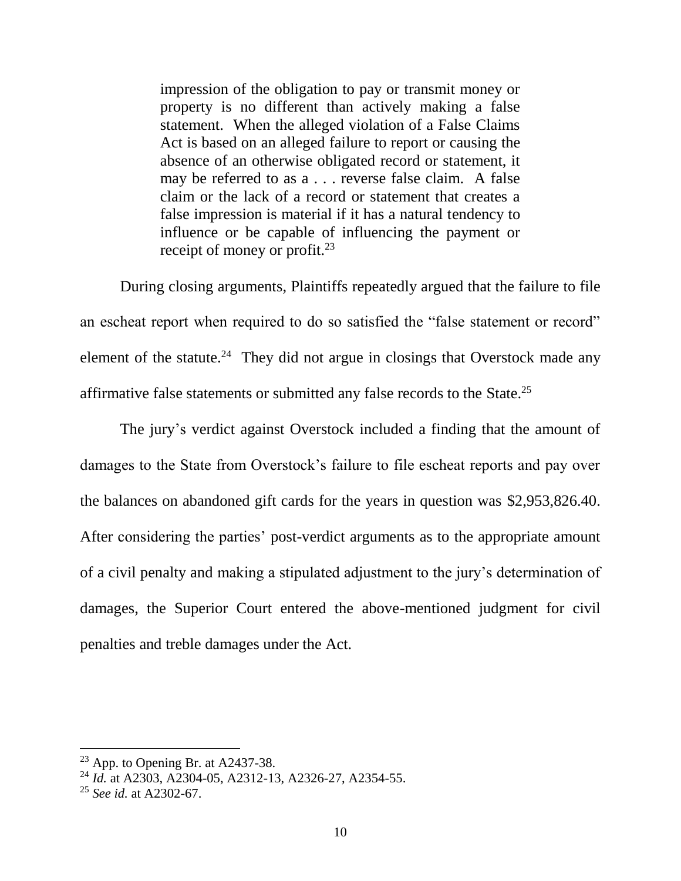impression of the obligation to pay or transmit money or property is no different than actively making a false statement. When the alleged violation of a False Claims Act is based on an alleged failure to report or causing the absence of an otherwise obligated record or statement, it may be referred to as a . . . reverse false claim. A false claim or the lack of a record or statement that creates a false impression is material if it has a natural tendency to influence or be capable of influencing the payment or receipt of money or profit.<sup>23</sup>

During closing arguments, Plaintiffs repeatedly argued that the failure to file an escheat report when required to do so satisfied the "false statement or record" element of the statute.<sup>24</sup> They did not argue in closings that Overstock made any affirmative false statements or submitted any false records to the State.<sup>25</sup>

The jury's verdict against Overstock included a finding that the amount of damages to the State from Overstock's failure to file escheat reports and pay over the balances on abandoned gift cards for the years in question was \$2,953,826.40. After considering the parties' post-verdict arguments as to the appropriate amount of a civil penalty and making a stipulated adjustment to the jury's determination of damages, the Superior Court entered the above-mentioned judgment for civil penalties and treble damages under the Act.

 $23$  App. to Opening Br. at A2437-38.

<sup>24</sup> *Id.* at A2303, A2304-05, A2312-13, A2326-27, A2354-55.

<sup>25</sup> *See id.* at A2302-67.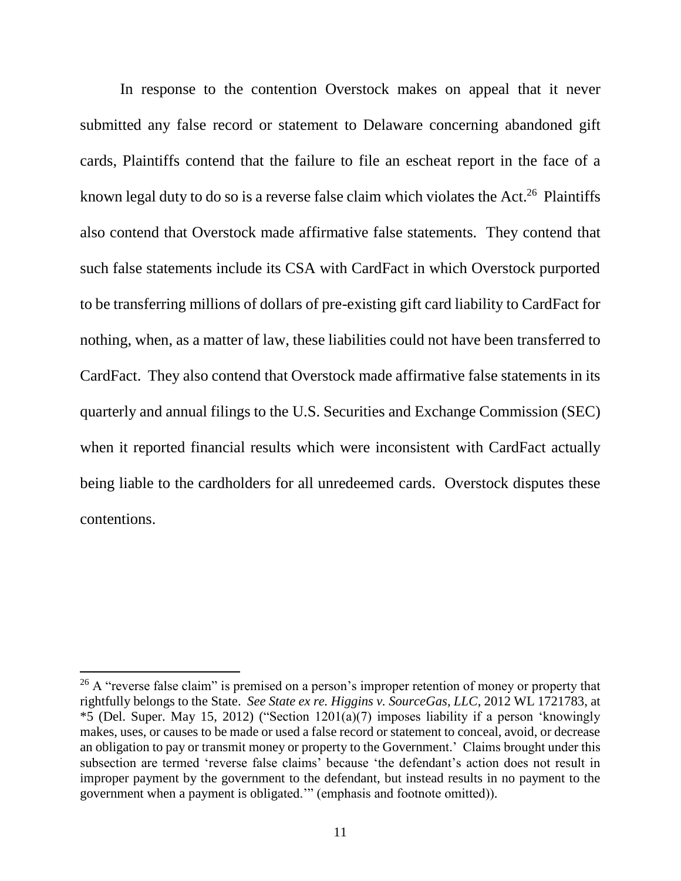In response to the contention Overstock makes on appeal that it never submitted any false record or statement to Delaware concerning abandoned gift cards, Plaintiffs contend that the failure to file an escheat report in the face of a known legal duty to do so is a reverse false claim which violates the Act.<sup>26</sup> Plaintiffs also contend that Overstock made affirmative false statements. They contend that such false statements include its CSA with CardFact in which Overstock purported to be transferring millions of dollars of pre-existing gift card liability to CardFact for nothing, when, as a matter of law, these liabilities could not have been transferred to CardFact. They also contend that Overstock made affirmative false statements in its quarterly and annual filings to the U.S. Securities and Exchange Commission (SEC) when it reported financial results which were inconsistent with CardFact actually being liable to the cardholders for all unredeemed cards. Overstock disputes these contentions.

 $26$  A "reverse false claim" is premised on a person's improper retention of money or property that rightfully belongs to the State. *See State ex re. Higgins v. SourceGas, LLC*, 2012 WL 1721783, at \*5 (Del. Super. May 15, 2012) ("Section 1201(a)(7) imposes liability if a person 'knowingly makes, uses, or causes to be made or used a false record or statement to conceal, avoid, or decrease an obligation to pay or transmit money or property to the Government.' Claims brought under this subsection are termed 'reverse false claims' because 'the defendant's action does not result in improper payment by the government to the defendant, but instead results in no payment to the government when a payment is obligated.'" (emphasis and footnote omitted)).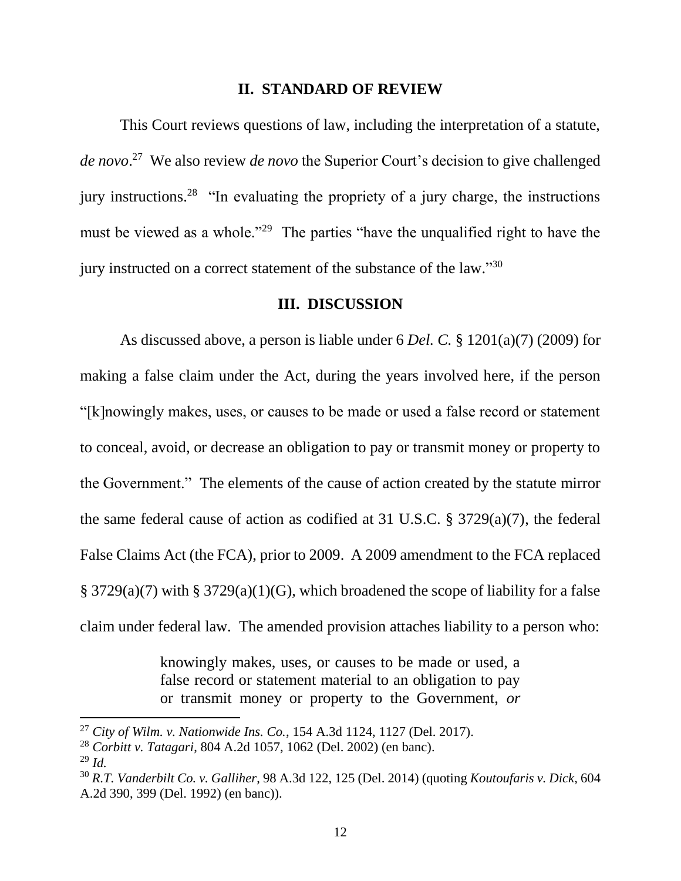#### **II. STANDARD OF REVIEW**

This Court reviews questions of law, including the interpretation of a statute, *de novo*. 27 We also review *de novo* the Superior Court's decision to give challenged jury instructions.<sup>28</sup> "In evaluating the propriety of a jury charge, the instructions must be viewed as a whole."<sup>29</sup> The parties "have the unqualified right to have the jury instructed on a correct statement of the substance of the law."30

#### **III. DISCUSSION**

As discussed above, a person is liable under 6 *Del. C.* § 1201(a)(7) (2009) for making a false claim under the Act, during the years involved here, if the person "[k]nowingly makes, uses, or causes to be made or used a false record or statement to conceal, avoid, or decrease an obligation to pay or transmit money or property to the Government." The elements of the cause of action created by the statute mirror the same federal cause of action as codified at 31 U.S.C. § 3729(a)(7), the federal False Claims Act (the FCA), prior to 2009. A 2009 amendment to the FCA replaced § 3729(a)(7) with § 3729(a)(1)(G), which broadened the scope of liability for a false claim under federal law. The amended provision attaches liability to a person who:

> knowingly makes, uses, or causes to be made or used, a false record or statement material to an obligation to pay or transmit money or property to the Government, *or*

<sup>27</sup> *City of Wilm. v. Nationwide Ins. Co.*, 154 A.3d 1124, 1127 (Del. 2017).

<sup>28</sup> *Corbitt v. Tatagari*, 804 A.2d 1057, 1062 (Del. 2002) (en banc).

<sup>29</sup> *Id.*

<sup>30</sup> *R.T. Vanderbilt Co. v. Galliher*, 98 A.3d 122, 125 (Del. 2014) (quoting *Koutoufaris v. Dick*, 604 A.2d 390, 399 (Del. 1992) (en banc)).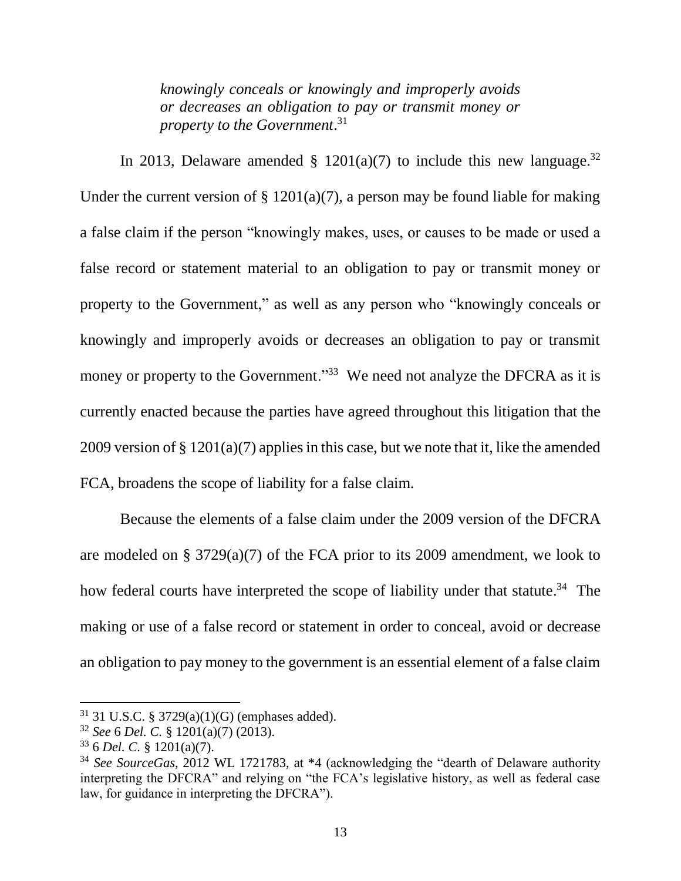*knowingly conceals or knowingly and improperly avoids or decreases an obligation to pay or transmit money or property to the Government*. 31

In 2013, Delaware amended § 1201(a)(7) to include this new language.<sup>32</sup> Under the current version of  $\S$  1201(a)(7), a person may be found liable for making a false claim if the person "knowingly makes, uses, or causes to be made or used a false record or statement material to an obligation to pay or transmit money or property to the Government," as well as any person who "knowingly conceals or knowingly and improperly avoids or decreases an obligation to pay or transmit money or property to the Government."<sup>33</sup> We need not analyze the DFCRA as it is currently enacted because the parties have agreed throughout this litigation that the 2009 version of § 1201(a)(7) applies in this case, but we note that it, like the amended FCA, broadens the scope of liability for a false claim.

Because the elements of a false claim under the 2009 version of the DFCRA are modeled on § 3729(a)(7) of the FCA prior to its 2009 amendment, we look to how federal courts have interpreted the scope of liability under that statute.<sup>34</sup> The making or use of a false record or statement in order to conceal, avoid or decrease an obligation to pay money to the government is an essential element of a false claim

 $31$  31 U.S.C. § 3729(a)(1)(G) (emphases added).

<sup>32</sup> *See* 6 *Del. C.* § 1201(a)(7) (2013).

<sup>33</sup> 6 *Del. C.* § 1201(a)(7).

<sup>34</sup> *See SourceGas*, 2012 WL 1721783, at \*4 (acknowledging the "dearth of Delaware authority interpreting the DFCRA" and relying on "the FCA's legislative history, as well as federal case law, for guidance in interpreting the DFCRA").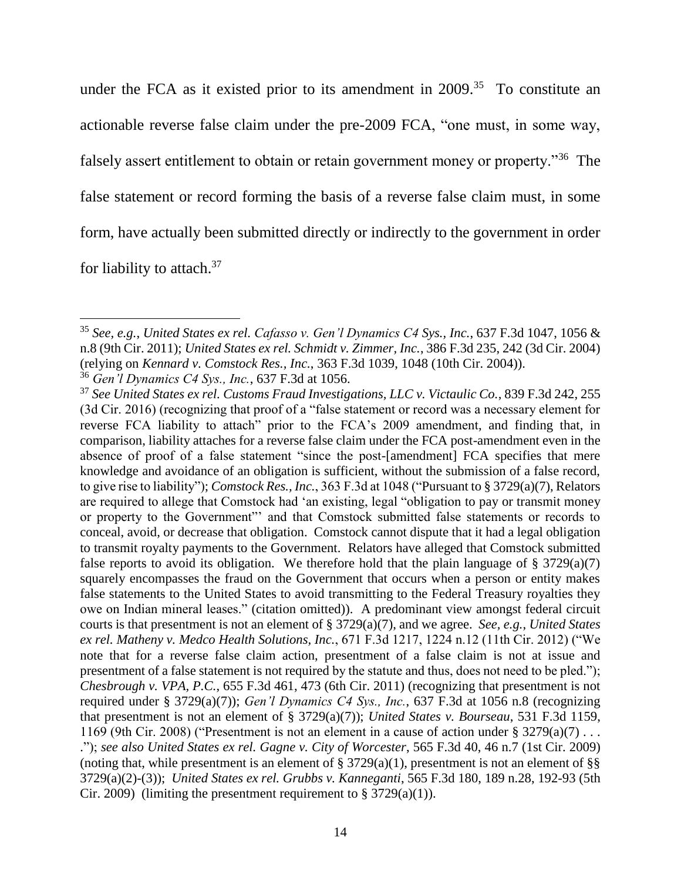under the FCA as it existed prior to its amendment in  $2009$ .<sup>35</sup> To constitute an actionable reverse false claim under the pre-2009 FCA, "one must, in some way, falsely assert entitlement to obtain or retain government money or property."<sup>36</sup> The false statement or record forming the basis of a reverse false claim must, in some form, have actually been submitted directly or indirectly to the government in order for liability to attach.<sup>37</sup>

<sup>35</sup> *See, e.g.*, *United States ex rel. Cafasso v. Gen'l Dynamics C4 Sys., Inc.*, 637 F.3d 1047, 1056 & n.8 (9th Cir. 2011); *United States ex rel. Schmidt v. Zimmer, Inc.*, 386 F.3d 235, 242 (3d Cir. 2004) (relying on *Kennard v. Comstock Res., Inc.*, 363 F.3d 1039, 1048 (10th Cir. 2004)).

<sup>36</sup> *Gen'l Dynamics C4 Sys., Inc.*, 637 F.3d at 1056.

<sup>37</sup> *See United States ex rel. Customs Fraud Investigations, LLC v. Victaulic Co.*, 839 F.3d 242, 255 (3d Cir. 2016) (recognizing that proof of a "false statement or record was a necessary element for reverse FCA liability to attach" prior to the FCA's 2009 amendment, and finding that, in comparison, liability attaches for a reverse false claim under the FCA post-amendment even in the absence of proof of a false statement "since the post-[amendment] FCA specifies that mere knowledge and avoidance of an obligation is sufficient, without the submission of a false record, to give rise to liability"); *Comstock Res., Inc.*, 363 F.3d at 1048 ("Pursuant to § 3729(a)(7), Relators are required to allege that Comstock had 'an existing, legal "obligation to pay or transmit money or property to the Government"' and that Comstock submitted false statements or records to conceal, avoid, or decrease that obligation. Comstock cannot dispute that it had a legal obligation to transmit royalty payments to the Government. Relators have alleged that Comstock submitted false reports to avoid its obligation. We therefore hold that the plain language of  $\S$  3729(a)(7) squarely encompasses the fraud on the Government that occurs when a person or entity makes false statements to the United States to avoid transmitting to the Federal Treasury royalties they owe on Indian mineral leases." (citation omitted)). A predominant view amongst federal circuit courts is that presentment is not an element of § 3729(a)(7), and we agree. *See, e.g.*, *United States ex rel. Matheny v. Medco Health Solutions, Inc.*, 671 F.3d 1217, 1224 n.12 (11th Cir. 2012) ("We note that for a reverse false claim action, presentment of a false claim is not at issue and presentment of a false statement is not required by the statute and thus, does not need to be pled."); *Chesbrough v. VPA, P.C.*, 655 F.3d 461, 473 (6th Cir. 2011) (recognizing that presentment is not required under § 3729(a)(7)); *Gen'l Dynamics C4 Sys., Inc.*, 637 F.3d at 1056 n.8 (recognizing that presentment is not an element of § 3729(a)(7)); *United States v. Bourseau*, 531 F.3d 1159, 1169 (9th Cir. 2008) ("Presentment is not an element in a cause of action under  $\S 3279(a)(7) \ldots$ ."); *see also United States ex rel. Gagne v. City of Worcester*, 565 F.3d 40, 46 n.7 (1st Cir. 2009) (noting that, while presentment is an element of  $\S 3729(a)(1)$ , presentment is not an element of  $\S$ 3729(a)(2)-(3)); *United States ex rel. Grubbs v. Kanneganti*, 565 F.3d 180, 189 n.28, 192-93 (5th Cir. 2009) (limiting the presentment requirement to  $\S 3729(a)(1)$ ).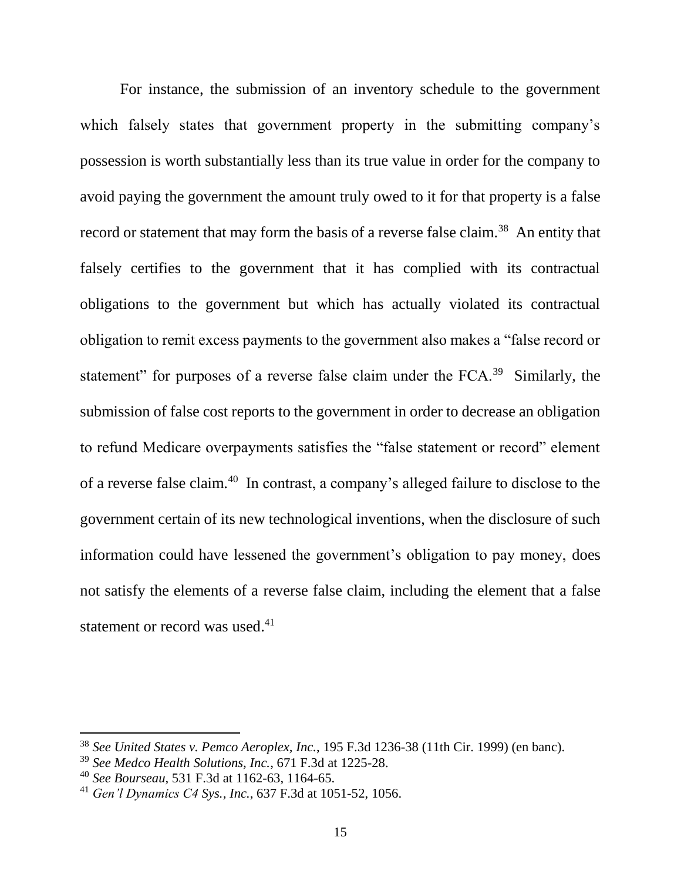For instance, the submission of an inventory schedule to the government which falsely states that government property in the submitting company's possession is worth substantially less than its true value in order for the company to avoid paying the government the amount truly owed to it for that property is a false record or statement that may form the basis of a reverse false claim.<sup>38</sup> An entity that falsely certifies to the government that it has complied with its contractual obligations to the government but which has actually violated its contractual obligation to remit excess payments to the government also makes a "false record or statement" for purposes of a reverse false claim under the  $FCA$ <sup>39</sup> Similarly, the submission of false cost reports to the government in order to decrease an obligation to refund Medicare overpayments satisfies the "false statement or record" element of a reverse false claim.<sup>40</sup> In contrast, a company's alleged failure to disclose to the government certain of its new technological inventions, when the disclosure of such information could have lessened the government's obligation to pay money, does not satisfy the elements of a reverse false claim, including the element that a false statement or record was used.<sup>41</sup>

<sup>38</sup> *See United States v. Pemco Aeroplex, Inc.*, 195 F.3d 1236-38 (11th Cir. 1999) (en banc).

<sup>39</sup> *See Medco Health Solutions, Inc.*, 671 F.3d at 1225-28.

<sup>40</sup> *See Bourseau*, 531 F.3d at 1162-63, 1164-65.

<sup>41</sup> *Gen'l Dynamics C4 Sys., Inc.*, 637 F.3d at 1051-52, 1056.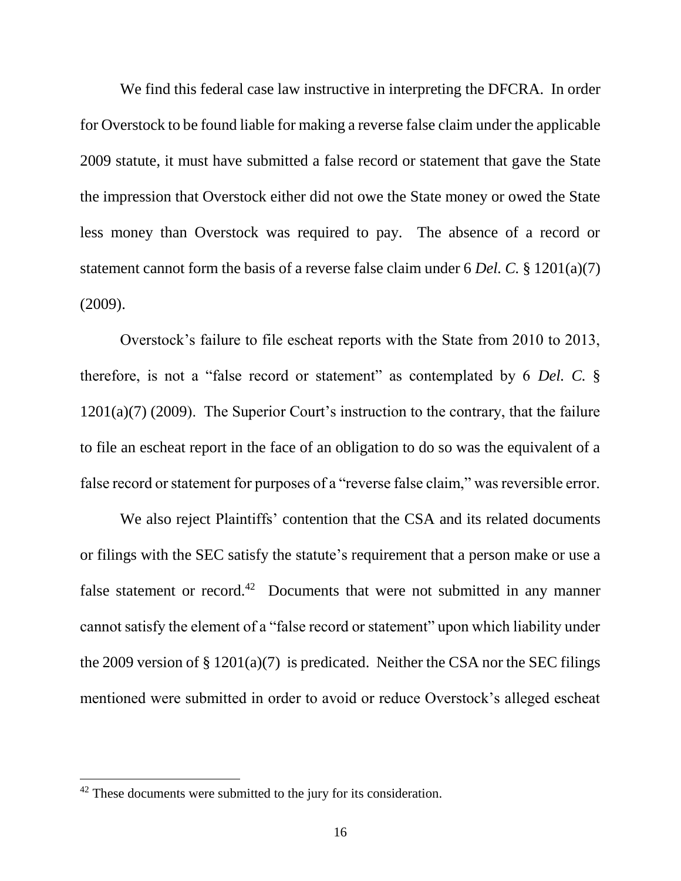We find this federal case law instructive in interpreting the DFCRA. In order for Overstock to be found liable for making a reverse false claim under the applicable 2009 statute, it must have submitted a false record or statement that gave the State the impression that Overstock either did not owe the State money or owed the State less money than Overstock was required to pay. The absence of a record or statement cannot form the basis of a reverse false claim under 6 *Del. C.* § 1201(a)(7) (2009).

Overstock's failure to file escheat reports with the State from 2010 to 2013, therefore, is not a "false record or statement" as contemplated by 6 *Del. C.* §  $1201(a)(7)$  (2009). The Superior Court's instruction to the contrary, that the failure to file an escheat report in the face of an obligation to do so was the equivalent of a false record or statement for purposes of a "reverse false claim," was reversible error.

We also reject Plaintiffs' contention that the CSA and its related documents or filings with the SEC satisfy the statute's requirement that a person make or use a false statement or record.<sup>42</sup> Documents that were not submitted in any manner cannot satisfy the element of a "false record or statement" upon which liability under the 2009 version of  $\S 1201(a)(7)$  is predicated. Neither the CSA nor the SEC filings mentioned were submitted in order to avoid or reduce Overstock's alleged escheat

 $42$  These documents were submitted to the jury for its consideration.